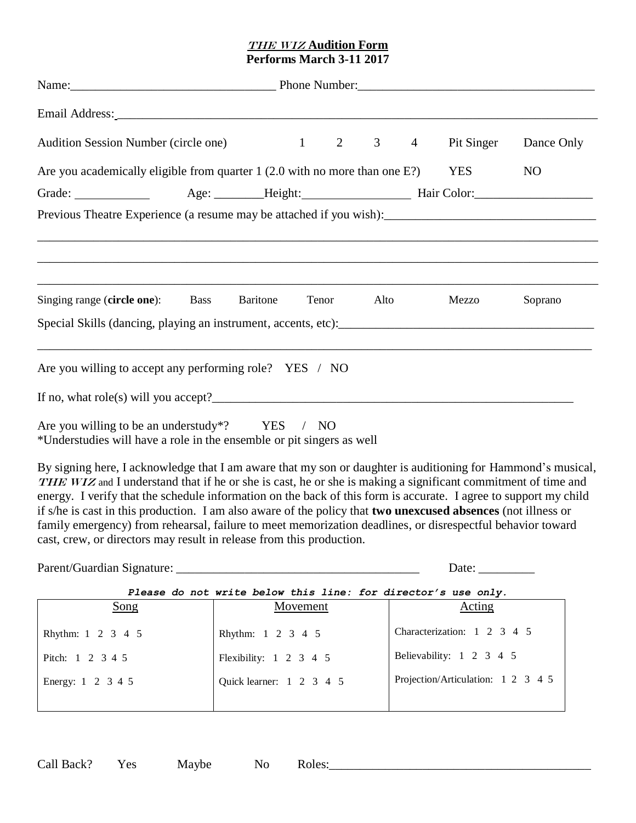## The Wiz **Audition Form Performs March 3-11 2017**

| Audition Session Number (circle one)                                                                                    |  |          |  |       |  |      | 1 2 3 4 Pit Singer Dance Only |         |
|-------------------------------------------------------------------------------------------------------------------------|--|----------|--|-------|--|------|-------------------------------|---------|
| Are you academically eligible from quarter $1(2.0 \text{ with no more than one E?)}$                                    |  |          |  |       |  |      | YES                           | NO      |
|                                                                                                                         |  |          |  |       |  |      |                               |         |
|                                                                                                                         |  |          |  |       |  |      |                               |         |
|                                                                                                                         |  |          |  |       |  |      |                               |         |
|                                                                                                                         |  |          |  |       |  |      |                               |         |
|                                                                                                                         |  |          |  |       |  |      |                               |         |
| Singing range (circle one): Bass                                                                                        |  | Baritone |  | Tenor |  | Alto | Mezzo                         | Soprano |
|                                                                                                                         |  |          |  |       |  |      |                               |         |
|                                                                                                                         |  |          |  |       |  |      |                               |         |
| Are you willing to accept any performing role? YES / NO                                                                 |  |          |  |       |  |      |                               |         |
|                                                                                                                         |  |          |  |       |  |      |                               |         |
|                                                                                                                         |  |          |  |       |  |      |                               |         |
| Are you willing to be an understudy*? YES / NO<br>*Understudies will have a role in the ensemble or pit singers as well |  |          |  |       |  |      |                               |         |

By signing here, I acknowledge that I am aware that my son or daughter is auditioning for Hammond's musical, THE WIZ and I understand that if he or she is cast, he or she is making a significant commitment of time and energy. I verify that the schedule information on the back of this form is accurate. I agree to support my child if s/he is cast in this production. I am also aware of the policy that **two unexcused absences** (not illness or family emergency) from rehearsal, failure to meet memorization deadlines, or disrespectful behavior toward cast, crew, or directors may result in release from this production.

Parent/Guardian Signature: \_\_\_\_\_\_\_\_\_\_\_\_\_\_\_\_\_\_\_\_\_\_\_\_\_\_\_\_\_\_\_\_\_\_\_\_\_\_\_ Date: \_\_\_\_\_\_\_\_\_

*Please do not write below this line: for director's use only.*

| fiease do hot wille below this line. Iof dilector s use only. |                                  |                                    |  |  |  |  |
|---------------------------------------------------------------|----------------------------------|------------------------------------|--|--|--|--|
| Song                                                          | Movement                         | <b>Acting</b>                      |  |  |  |  |
| Rhythm: 1 2 3 4 5                                             | Rhythm: 1 2 3 4 5                | Characterization: 1 2 3 4 5        |  |  |  |  |
| Pitch: 1 2 3 4 5                                              | Flexibility: $1 \t2 \t3 \t4 \t5$ | Believability: 1 2 3 4 5           |  |  |  |  |
| Energy: 1 2 3 4 5                                             | Quick learner: 1 2 3 4 5         | Projection/Articulation: 1 2 3 4 5 |  |  |  |  |
|                                                               |                                  |                                    |  |  |  |  |